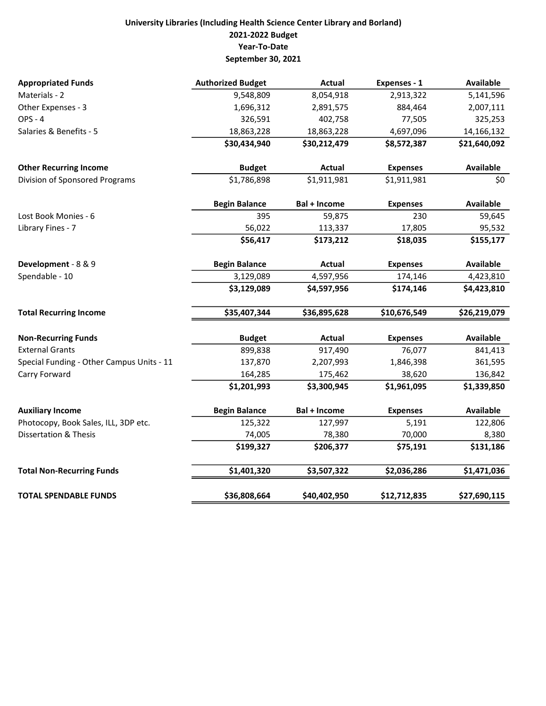## University Libraries (Including Health Science Center Library and Borland) 2021-2022 Budget Year-To-Date September 30, 2021

| <b>Appropriated Funds</b>                 | <b>Authorized Budget</b> | <b>Actual</b>       | Expenses - 1    | <b>Available</b> |
|-------------------------------------------|--------------------------|---------------------|-----------------|------------------|
| Materials - 2                             | 9,548,809                | 8,054,918           | 2,913,322       | 5,141,596        |
| Other Expenses - 3                        | 1,696,312                | 2,891,575           | 884,464         | 2,007,111        |
| <b>OPS - 4</b>                            | 326,591                  | 402,758             | 77,505          | 325,253          |
| Salaries & Benefits - 5                   | 18,863,228               | 18,863,228          | 4,697,096       | 14,166,132       |
|                                           | \$30,434,940             | \$30,212,479        | \$8,572,387     | \$21,640,092     |
| <b>Other Recurring Income</b>             | <b>Budget</b>            | <b>Actual</b>       | <b>Expenses</b> | <b>Available</b> |
| Division of Sponsored Programs            | \$1,786,898              | \$1,911,981         | \$1,911,981     | \$0              |
|                                           | <b>Begin Balance</b>     | <b>Bal + Income</b> | <b>Expenses</b> | <b>Available</b> |
| Lost Book Monies - 6                      | 395                      | 59,875              | 230             | 59,645           |
| Library Fines - 7                         | 56,022                   | 113,337             | 17,805          | 95,532           |
|                                           | \$56,417                 | \$173,212           | \$18,035        | \$155,177        |
| Development - 8 & 9                       | <b>Begin Balance</b>     | Actual              | <b>Expenses</b> | <b>Available</b> |
| Spendable - 10                            | 3,129,089                | 4,597,956           | 174,146         | 4,423,810        |
|                                           | \$3,129,089              | \$4,597,956         | \$174,146       | \$4,423,810      |
| <b>Total Recurring Income</b>             | \$35,407,344             | \$36,895,628        | \$10,676,549    | \$26,219,079     |
| <b>Non-Recurring Funds</b>                | <b>Budget</b>            | <b>Actual</b>       | <b>Expenses</b> | <b>Available</b> |
| <b>External Grants</b>                    | 899,838                  | 917,490             | 76,077          | 841,413          |
| Special Funding - Other Campus Units - 11 | 137,870                  | 2,207,993           | 1,846,398       | 361,595          |
| Carry Forward                             | 164,285                  | 175,462             | 38,620          | 136,842          |
|                                           | \$1,201,993              | \$3,300,945         | \$1,961,095     | \$1,339,850      |
| <b>Auxiliary Income</b>                   | <b>Begin Balance</b>     | <b>Bal + Income</b> | <b>Expenses</b> | <b>Available</b> |
| Photocopy, Book Sales, ILL, 3DP etc.      | 125,322                  | 127,997             | 5,191           | 122,806          |
| <b>Dissertation &amp; Thesis</b>          | 74,005                   | 78,380              | 70,000          | 8,380            |
|                                           | \$199,327                | \$206,377           | \$75,191        | \$131,186        |
| <b>Total Non-Recurring Funds</b>          | \$1,401,320              | \$3,507,322         | \$2,036,286     | \$1,471,036      |
| <b>TOTAL SPENDABLE FUNDS</b>              | \$36,808,664             | \$40,402,950        | \$12,712,835    | \$27,690,115     |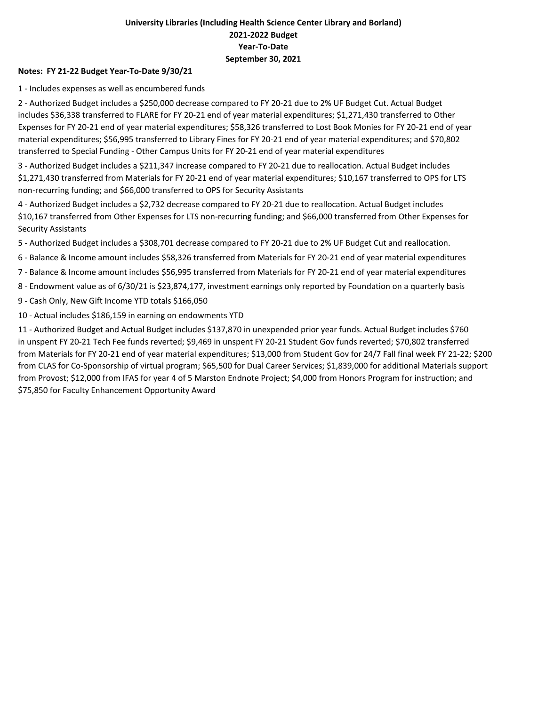### University Libraries (Including Health Science Center Library and Borland) 2021-2022 Budget Year-To-Date September 30, 2021

#### Notes: FY 21-22 Budget Year-To-Date 9/30/21

1 - Includes expenses as well as encumbered funds

2 - Authorized Budget includes a \$250,000 decrease compared to FY 20-21 due to 2% UF Budget Cut. Actual Budget includes \$36,338 transferred to FLARE for FY 20-21 end of year material expenditures; \$1,271,430 transferred to Other Expenses for FY 20-21 end of year material expenditures; \$58,326 transferred to Lost Book Monies for FY 20-21 end of year material expenditures; \$56,995 transferred to Library Fines for FY 20-21 end of year material expenditures; and \$70,802 transferred to Special Funding - Other Campus Units for FY 20-21 end of year material expenditures

3 - Authorized Budget includes a \$211,347 increase compared to FY 20-21 due to reallocation. Actual Budget includes \$1,271,430 transferred from Materials for FY 20-21 end of year material expenditures; \$10,167 transferred to OPS for LTS non-recurring funding; and \$66,000 transferred to OPS for Security Assistants

4 - Authorized Budget includes a \$2,732 decrease compared to FY 20-21 due to reallocation. Actual Budget includes \$10,167 transferred from Other Expenses for LTS non-recurring funding; and \$66,000 transferred from Other Expenses for Security Assistants

5 - Authorized Budget includes a \$308,701 decrease compared to FY 20-21 due to 2% UF Budget Cut and reallocation.

6 - Balance & Income amount includes \$58,326 transferred from Materials for FY 20-21 end of year material expenditures

7 - Balance & Income amount includes \$56,995 transferred from Materials for FY 20-21 end of year material expenditures

- 8 Endowment value as of 6/30/21 is \$23,874,177, investment earnings only reported by Foundation on a quarterly basis
- 9 Cash Only, New Gift Income YTD totals \$166,050
- 10 Actual includes \$186,159 in earning on endowments YTD

11 - Authorized Budget and Actual Budget includes \$137,870 in unexpended prior year funds. Actual Budget includes \$760 in unspent FY 20-21 Tech Fee funds reverted; \$9,469 in unspent FY 20-21 Student Gov funds reverted; \$70,802 transferred from Materials for FY 20-21 end of year material expenditures; \$13,000 from Student Gov for 24/7 Fall final week FY 21-22; \$200 from CLAS for Co-Sponsorship of virtual program; \$65,500 for Dual Career Services; \$1,839,000 for additional Materials support from Provost; \$12,000 from IFAS for year 4 of 5 Marston Endnote Project; \$4,000 from Honors Program for instruction; and \$75,850 for Faculty Enhancement Opportunity Award